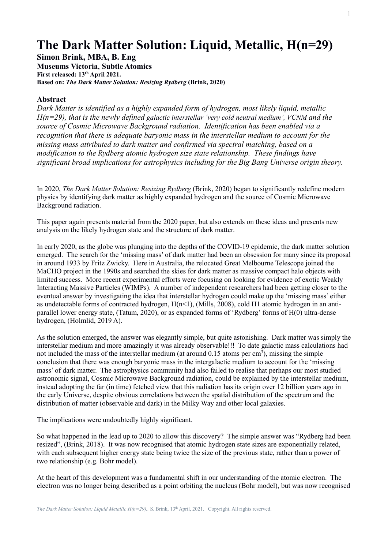## **The Dark Matter Solution: Liquid, Metallic, H(n=29)**

**Simon Brink, MBA, B. Eng**

**Museums Victoria**, **Subtle Atomics First released: 13th April 2021. Based on:** *The Dark Matter Solution: Resizing Rydberg* **(Brink, 2020)**

## **Abstract**

*Dark Matter is identified as a highly expanded form of hydrogen, most likely liquid, metallic H(n=29), that is the newly defined galactic interstellar 'very cold neutral medium', VCNM and the source of Cosmic Microwave Background radiation. Identification has been enabled via a recognition that there is adequate baryonic mass in the interstellar medium to account for the missing mass attributed to dark matter and confirmed via spectral matching, based on a modification to the Rydberg atomic hydrogen size state relationship. These findings have significant broad implications for astrophysics including for the Big Bang Universe origin theory.*

In 2020, *The Dark Matter Solution: Resizing Rydberg* (Brink, 2020) began to significantly redefine modern physics by identifying dark matter as highly expanded hydrogen and the source of Cosmic Microwave Background radiation.

This paper again presents material from the 2020 paper, but also extends on these ideas and presents new analysis on the likely hydrogen state and the structure of dark matter.

In early 2020, as the globe was plunging into the depths of the COVID-19 epidemic, the dark matter solution emerged. The search for the 'missing mass' of dark matter had been an obsession for many since its proposal in around 1933 by Fritz Zwicky. Here in Australia, the relocated Great Melbourne Telescope joined the MaCHO project in the 1990s and searched the skies for dark matter as massive compact halo objects with limited success. More recent experimental efforts were focusing on looking for evidence of exotic Weakly Interacting Massive Particles (WIMPs). A number of independent researchers had been getting closer to the eventual answer by investigating the idea that interstellar hydrogen could make up the 'missing mass' either as undetectable forms of contracted hydrogen,  $H(n<1)$ , (Mills, 2008), cold H1 atomic hydrogen in an antiparallel lower energy state, (Tatum, 2020), or as expanded forms of 'Rydberg' forms of H(0) ultra-dense hydrogen, (Holmlid, 2019 A).

As the solution emerged, the answer was elegantly simple, but quite astonishing. Dark matter was simply the interstellar medium and more amazingly it was already observable!!! To date galactic mass calculations had not included the mass of the interstellar medium (at around  $0.15$  atoms per cm<sup>3</sup>), missing the simple conclusion that there was enough baryonic mass in the intergalactic medium to account for the 'missing mass' of dark matter. The astrophysics community had also failed to realise that perhaps our most studied astronomic signal, Cosmic Microwave Background radiation, could be explained by the interstellar medium, instead adopting the far (in time) fetched view that this radiation has its origin over 12 billion years ago in the early Universe, despite obvious correlations between the spatial distribution of the spectrum and the distribution of matter (observable and dark) in the Milky Way and other local galaxies.

The implications were undoubtedly highly significant.

So what happened in the lead up to 2020 to allow this discovery? The simple answer was "Rydberg had been resized", (Brink, 2018). It was now recognised that atomic hydrogen state sizes are exponentially related, with each subsequent higher energy state being twice the size of the previous state, rather than a power of two relationship (e.g. Bohr model).

At the heart of this development was a fundamental shift in our understanding of the atomic electron. The electron was no longer being described as a point orbiting the nucleus (Bohr model), but was now recognised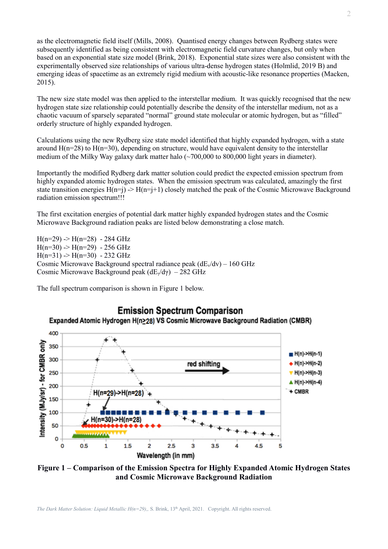as the electromagnetic field itself (Mills, 2008). Quantised energy changes between Rydberg states were subsequently identified as being consistent with electromagnetic field curvature changes, but only when based on an exponential state size model (Brink, 2018). Exponential state sizes were also consistent with the experimentally observed size relationships of various ultra-dense hydrogen states (Holmlid, 2019 B) and emerging ideas of spacetime as an extremely rigid medium with acoustic-like resonance properties (Macken, 2015).

The new size state model was then applied to the interstellar medium. It was quickly recognised that the new hydrogen state size relationship could potentially describe the density of the interstellar medium, not as a chaotic vacuum of sparsely separated "normal" ground state molecular or atomic hydrogen, but as "filled" orderly structure of highly expanded hydrogen.

Calculations using the new Rydberg size state model identified that highly expanded hydrogen, with a state around  $H(n=28)$  to  $H(n=30)$ , depending on structure, would have equivalent density to the interstellar medium of the Milky Way galaxy dark matter halo  $\sim$  700,000 to 800,000 light years in diameter).

Importantly the modified Rydberg dark matter solution could predict the expected emission spectrum from highly expanded atomic hydrogen states. When the emission spectrum was calculated, amazingly the first state transition energies  $H(n=j)$   $\rightarrow$   $H(n=j+1)$  closely matched the peak of the Cosmic Microwave Background radiation emission spectrum!!!

The first excitation energies of potential dark matter highly expanded hydrogen states and the Cosmic Microwave Background radiation peaks are listed below demonstrating a close match.

 $H(n=29)$  ->  $H(n=28)$  - 284 GHz  $H(n=30)$  ->  $H(n=29)$  - 256 GHz  $H(n=31)$  ->  $H(n=30)$  - 232 GHz Cosmic Microwave Background spectral radiance peak  $(dE_v/dv) - 160 \text{ GHz}$ Cosmic Microwave Background peak  $(dE_y/dy) - 282 \text{ GHz}$ 

The full spectrum comparison is shown in Figure 1 below.



**Figure 1 – Comparison of the Emission Spectra for Highly Expanded Atomic Hydrogen States and Cosmic Microwave Background Radiation**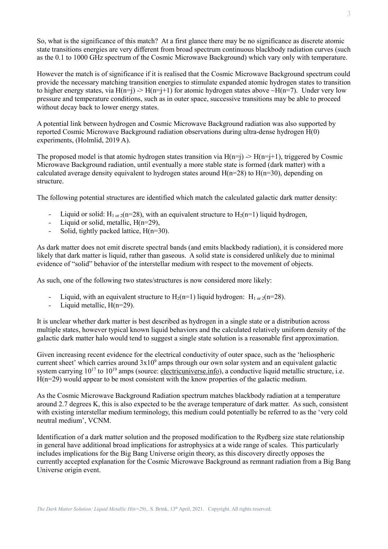So, what is the significance of this match? At a first glance there may be no significance as discrete atomic state transitions energies are very different from broad spectrum continuous blackbody radiation curves (such as the 0.1 to 1000 GHz spectrum of the Cosmic Microwave Background) which vary only with temperature.

However the match is of significance if it is realised that the Cosmic Microwave Background spectrum could provide the necessary matching transition energies to stimulate expanded atomic hydrogen states to transition to higher energy states, via H(n=j) -> H(n=j+1) for atomic hydrogen states above ~H(n=7). Under very low pressure and temperature conditions, such as in outer space, successive transitions may be able to proceed without decay back to lower energy states.

A potential link between hydrogen and Cosmic Microwave Background radiation was also supported by reported Cosmic Microwave Background radiation observations during ultra-dense hydrogen H(0) experiments, (Holmlid, 2019 A).

The proposed model is that atomic hydrogen states transition via  $H(n=j) \rightarrow H(n=j+1)$ , triggered by Cosmic Microwave Background radiation, until eventually a more stable state is formed (dark matter) with a calculated average density equivalent to hydrogen states around  $H(n=28)$  to  $H(n=30)$ , depending on structure.

The following potential structures are identified which match the calculated galactic dark matter density:

- Liquid or solid:  $H_{1 \text{ or } 2}(n=28)$ , with an equivalent structure to  $H_2(n=1)$  liquid hydrogen,
- Liquid or solid, metallic,  $H(n=29)$ ,
- Solid, tightly packed lattice,  $H(n=30)$ .

As dark matter does not emit discrete spectral bands (and emits blackbody radiation), it is considered more likely that dark matter is liquid, rather than gaseous. A solid state is considered unlikely due to minimal evidence of "solid" behavior of the interstellar medium with respect to the movement of objects.

As such, one of the following two states/structures is now considered more likely:

- Liquid, with an equivalent structure to  $H_2(n=1)$  liquid hydrogen:  $H_{1 \text{ or } 2}(n=28)$ .
- Liquid metallic,  $H(n=29)$ .

It is unclear whether dark matter is best described as hydrogen in a single state or a distribution across multiple states, however typical known liquid behaviors and the calculated relatively uniform density of the galactic dark matter halo would tend to suggest a single state solution is a reasonable first approximation.

Given increasing recent evidence for the electrical conductivity of outer space, such as the 'heliospheric current sheet' which carries around  $3x10<sup>9</sup>$  amps through our own solar system and an equivalent galactic system carrying  $10^{17}$  to  $10^{19}$  amps (source: electricuniverse.info), a conductive liquid metallic structure, i.e. H(n=29) would appear to be most consistent with the know properties of the galactic medium.

As the Cosmic Microwave Background Radiation spectrum matches blackbody radiation at a temperature around 2.7 degrees K, this is also expected to be the average temperature of dark matter. As such, consistent with existing interstellar medium terminology, this medium could potentially be referred to as the 'very cold neutral medium', VCNM.

Identification of a dark matter solution and the proposed modification to the Rydberg size state relationship in general have additional broad implications for astrophysics at a wide range of scales. This particularly includes implications for the Big Bang Universe origin theory, as this discovery directly opposes the currently accepted explanation for the Cosmic Microwave Background as remnant radiation from a Big Bang Universe origin event.